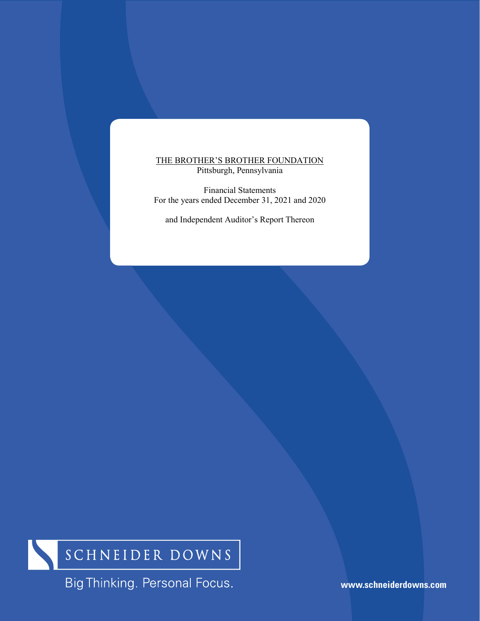## THE BROTHER'S BROTHER FOUNDATION Pittsburgh, Pennsylvania

Financial Statements For the years ended December 31, 2021 and 2020

and Independent Auditor's Report Thereon



Big Thinking. Personal Focus.

**www.schneiderdowns.com**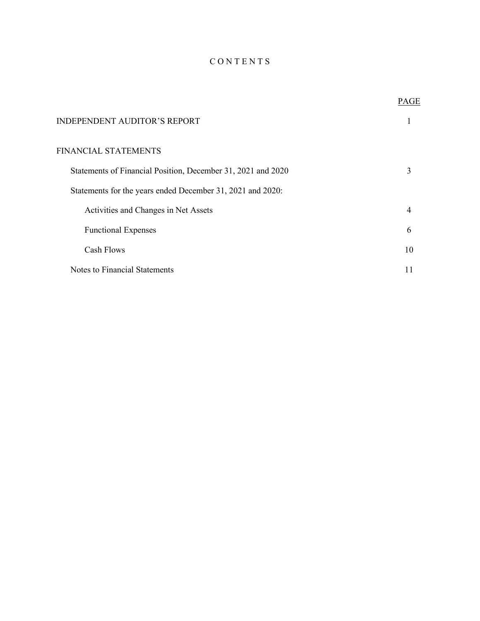# C O N T E N T S

|                                                              | PAGE           |
|--------------------------------------------------------------|----------------|
| <b>INDEPENDENT AUDITOR'S REPORT</b>                          |                |
| FINANCIAL STATEMENTS                                         |                |
| Statements of Financial Position, December 31, 2021 and 2020 | 3              |
| Statements for the years ended December 31, 2021 and 2020:   |                |
| Activities and Changes in Net Assets                         | $\overline{4}$ |
| <b>Functional Expenses</b>                                   | 6              |
| Cash Flows                                                   | 10             |
| Notes to Financial Statements                                |                |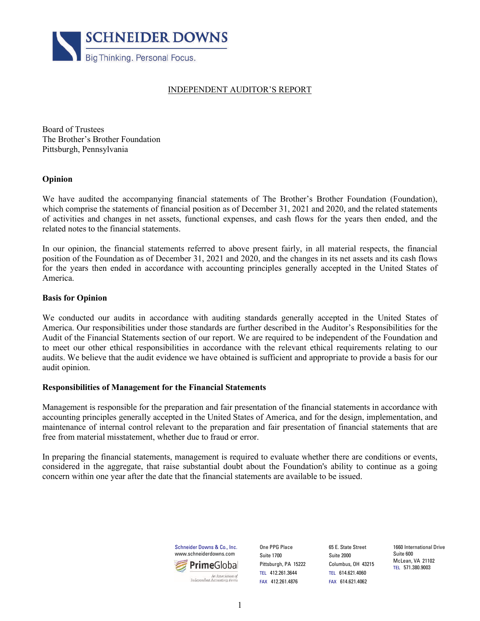

## INDEPENDENT AUDITOR'S REPORT

Board of Trustees The Brother's Brother Foundation Pittsburgh, Pennsylvania

## **Opinion**

We have audited the accompanying financial statements of The Brother's Brother Foundation (Foundation), which comprise the statements of financial position as of December 31, 2021 and 2020, and the related statements of activities and changes in net assets, functional expenses, and cash flows for the years then ended, and the related notes to the financial statements.

In our opinion, the financial statements referred to above present fairly, in all material respects, the financial position of the Foundation as of December 31, 2021 and 2020, and the changes in its net assets and its cash flows for the years then ended in accordance with accounting principles generally accepted in the United States of America.

## **Basis for Opinion**

We conducted our audits in accordance with auditing standards generally accepted in the United States of America. Our responsibilities under those standards are further described in the Auditor's Responsibilities for the Audit of the Financial Statements section of our report. We are required to be independent of the Foundation and to meet our other ethical responsibilities in accordance with the relevant ethical requirements relating to our audits. We believe that the audit evidence we have obtained is sufficient and appropriate to provide a basis for our audit opinion.

## **Responsibilities of Management for the Financial Statements**

Management is responsible for the preparation and fair presentation of the financial statements in accordance with accounting principles generally accepted in the United States of America, and for the design, implementation, and maintenance of internal control relevant to the preparation and fair presentation of financial statements that are free from material misstatement, whether due to fraud or error.

In preparing the financial statements, management is required to evaluate whether there are conditions or events, considered in the aggregate, that raise substantial doubt about the Foundation's ability to continue as a going concern within one year after the date that the financial statements are available to be issued.



One PPG Place Suite 1700 Pittsburgh, PA 15222 TEL 412.261.3644 FAX 412.261.4876

65 E. State Street Suite 2000 Columbus, OH 43215 TEL 614.621.4060 FAX 614.621.4062

1660 International Drive Suite 600 McLean, VA 21102 TEL 571.380.9003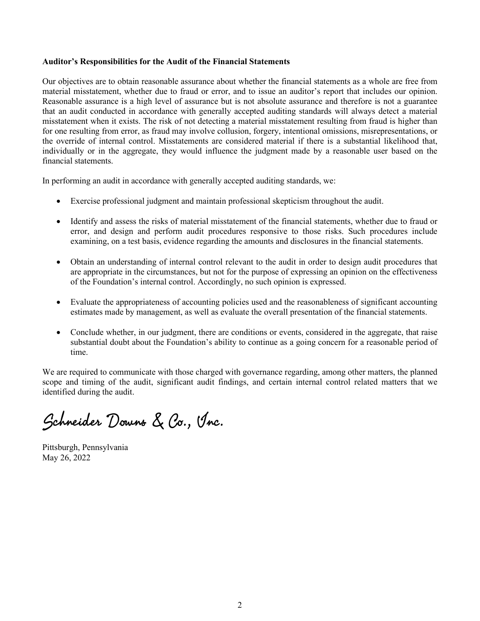## **Auditor's Responsibilities for the Audit of the Financial Statements**

Our objectives are to obtain reasonable assurance about whether the financial statements as a whole are free from material misstatement, whether due to fraud or error, and to issue an auditor's report that includes our opinion. Reasonable assurance is a high level of assurance but is not absolute assurance and therefore is not a guarantee that an audit conducted in accordance with generally accepted auditing standards will always detect a material misstatement when it exists. The risk of not detecting a material misstatement resulting from fraud is higher than for one resulting from error, as fraud may involve collusion, forgery, intentional omissions, misrepresentations, or the override of internal control. Misstatements are considered material if there is a substantial likelihood that, individually or in the aggregate, they would influence the judgment made by a reasonable user based on the financial statements.

In performing an audit in accordance with generally accepted auditing standards, we:

- Exercise professional judgment and maintain professional skepticism throughout the audit.
- Identify and assess the risks of material misstatement of the financial statements, whether due to fraud or error, and design and perform audit procedures responsive to those risks. Such procedures include examining, on a test basis, evidence regarding the amounts and disclosures in the financial statements.
- Obtain an understanding of internal control relevant to the audit in order to design audit procedures that are appropriate in the circumstances, but not for the purpose of expressing an opinion on the effectiveness of the Foundation's internal control. Accordingly, no such opinion is expressed.
- Evaluate the appropriateness of accounting policies used and the reasonableness of significant accounting estimates made by management, as well as evaluate the overall presentation of the financial statements.
- Conclude whether, in our judgment, there are conditions or events, considered in the aggregate, that raise substantial doubt about the Foundation's ability to continue as a going concern for a reasonable period of time.

We are required to communicate with those charged with governance regarding, among other matters, the planned scope and timing of the audit, significant audit findings, and certain internal control related matters that we identified during the audit.

Schneider Downs & Co., Inc.

Pittsburgh, Pennsylvania May 26, 2022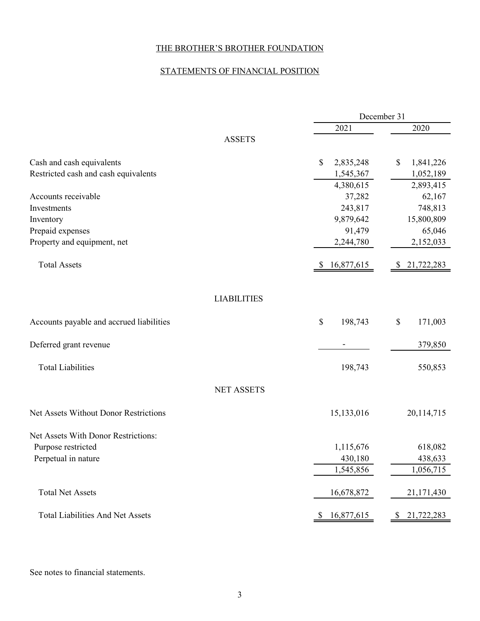# STATEMENTS OF FINANCIAL POSITION

|                                          |                  | December 31                |
|------------------------------------------|------------------|----------------------------|
|                                          | 2021             | 2020                       |
| <b>ASSETS</b>                            |                  |                            |
| Cash and cash equivalents                | \$<br>2,835,248  | \$<br>1,841,226            |
| Restricted cash and cash equivalents     | 1,545,367        | 1,052,189                  |
|                                          | 4,380,615        | 2,893,415                  |
| Accounts receivable                      | 37,282           | 62,167                     |
| Investments                              | 243,817          | 748,813                    |
| Inventory                                | 9,879,642        | 15,800,809                 |
| Prepaid expenses                         | 91,479           | 65,046                     |
| Property and equipment, net              | 2,244,780        | 2,152,033                  |
| <b>Total Assets</b>                      | 16,877,615<br>\$ | \$21,722,283               |
| <b>LIABILITIES</b>                       |                  |                            |
| Accounts payable and accrued liabilities | $\$$<br>198,743  | \$<br>171,003              |
| Deferred grant revenue                   |                  | 379,850                    |
| <b>Total Liabilities</b>                 | 198,743          | 550,853                    |
| <b>NET ASSETS</b>                        |                  |                            |
| Net Assets Without Donor Restrictions    | 15,133,016       | 20,114,715                 |
| Net Assets With Donor Restrictions:      |                  |                            |
| Purpose restricted                       | 1,115,676        | 618,082                    |
| Perpetual in nature                      | 430,180          | 438,633                    |
|                                          | 1,545,856        | 1,056,715                  |
| <b>Total Net Assets</b>                  | 16,678,872       | 21,171,430                 |
| <b>Total Liabilities And Net Assets</b>  | 16,877,615<br>\$ | 21,722,283<br><sup>2</sup> |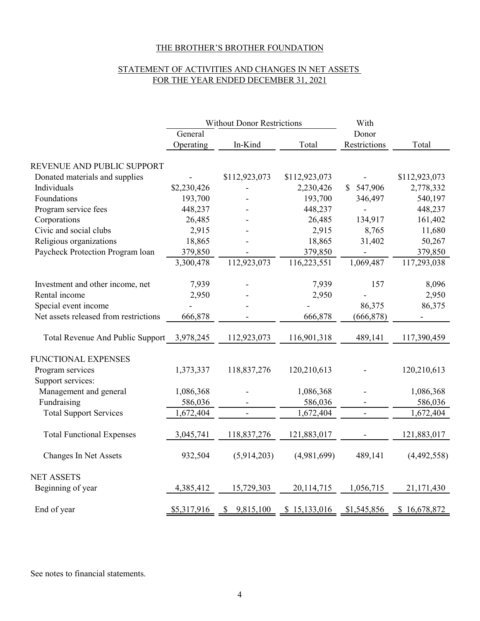# STATEMENT OF ACTIVITIES AND CHANGES IN NET ASSETS FOR THE YEAR ENDED DECEMBER 31, 2021

|                                            | <b>Without Donor Restrictions</b> |                |               | With                         |               |
|--------------------------------------------|-----------------------------------|----------------|---------------|------------------------------|---------------|
|                                            | General                           |                |               | Donor                        |               |
|                                            | Operating                         | In-Kind        | Total         | Restrictions                 | Total         |
| REVENUE AND PUBLIC SUPPORT                 |                                   |                |               |                              |               |
| Donated materials and supplies             |                                   | \$112,923,073  | \$112,923,073 |                              | \$112,923,073 |
| Individuals                                | \$2,230,426                       |                | 2,230,426     | 547,906<br>$\mathbb{S}$      | 2,778,332     |
| Foundations                                | 193,700                           |                | 193,700       | 346,497                      | 540,197       |
| Program service fees                       | 448,237                           |                | 448,237       | ÷,                           | 448,237       |
| Corporations                               | 26,485                            |                | 26,485        | 134,917                      | 161,402       |
| Civic and social clubs                     | 2,915                             |                | 2,915         | 8,765                        | 11,680        |
| Religious organizations                    | 18,865                            |                | 18,865        | 31,402                       | 50,267        |
| Paycheck Protection Program loan           | 379,850                           |                | 379,850       |                              | 379,850       |
|                                            | 3,300,478                         | 112,923,073    | 116,223,551   | 1,069,487                    | 117,293,038   |
| Investment and other income, net           | 7,939                             |                | 7,939         | 157                          | 8,096         |
| Rental income                              | 2,950                             |                | 2,950         |                              | 2,950         |
| Special event income                       |                                   |                |               | 86,375                       | 86,375        |
| Net assets released from restrictions      | 666,878                           |                | 666,878       | (666, 878)                   |               |
|                                            |                                   |                |               |                              |               |
| Total Revenue And Public Support 3,978,245 |                                   | 112,923,073    | 116,901,318   | 489,141                      | 117,390,459   |
| FUNCTIONAL EXPENSES                        |                                   |                |               |                              |               |
| Program services                           | 1,373,337                         | 118,837,276    | 120,210,613   |                              | 120,210,613   |
| Support services:                          |                                   |                |               |                              |               |
| Management and general                     | 1,086,368                         |                | 1,086,368     |                              | 1,086,368     |
| Fundraising                                | 586,036                           |                | 586,036       |                              | 586,036       |
| <b>Total Support Services</b>              | 1,672,404                         | $\blacksquare$ | 1,672,404     | $\qquad \qquad \blacksquare$ | 1,672,404     |
|                                            |                                   |                |               |                              |               |
| <b>Total Functional Expenses</b>           | 3,045,741                         | 118,837,276    | 121,883,017   |                              | 121,883,017   |
| <b>Changes In Net Assets</b>               | 932,504                           | (5,914,203)    | (4,981,699)   | 489,141                      | (4,492,558)   |
| <b>NET ASSETS</b>                          |                                   |                |               |                              |               |
| Beginning of year                          | 4,385,412                         | 15,729,303     | 20,114,715    | 1,056,715                    | 21,171,430    |
| End of year                                | \$5,317,916                       | \$9,815,100    | \$15,133,016  | \$1,545,856                  | \$16,678,872  |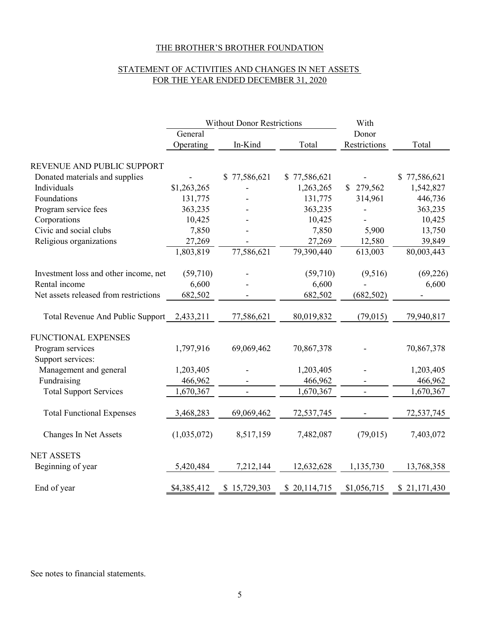# STATEMENT OF ACTIVITIES AND CHANGES IN NET ASSETS FOR THE YEAR ENDED DECEMBER 31, 2020

|                                       | <b>Without Donor Restrictions</b> |                  |              | With         |              |
|---------------------------------------|-----------------------------------|------------------|--------------|--------------|--------------|
|                                       | General                           |                  |              | Donor        |              |
|                                       | Operating                         | In-Kind          | Total        | Restrictions | Total        |
| REVENUE AND PUBLIC SUPPORT            |                                   |                  |              |              |              |
| Donated materials and supplies        |                                   | 77,586,621<br>S. | \$77,586,621 |              | \$77,586,621 |
| Individuals                           | \$1,263,265                       |                  | 1,263,265    | \$279,562    | 1,542,827    |
| Foundations                           | 131,775                           |                  | 131,775      | 314,961      | 446,736      |
| Program service fees                  | 363,235                           |                  | 363,235      |              | 363,235      |
| Corporations                          | 10,425                            |                  | 10,425       |              | 10,425       |
| Civic and social clubs                | 7,850                             |                  | 7,850        | 5,900        | 13,750       |
| Religious organizations               | 27,269                            |                  | 27,269       | 12,580       | 39,849       |
|                                       | 1,803,819                         | 77,586,621       | 79,390,440   | 613,003      | 80,003,443   |
| Investment loss and other income, net | (59,710)                          |                  | (59,710)     | (9,516)      | (69, 226)    |
| Rental income                         | 6,600                             |                  | 6,600        |              | 6,600        |
| Net assets released from restrictions | 682,502                           |                  | 682,502      | (682, 502)   |              |
| Total Revenue And Public Support      | 2,433,211                         | 77,586,621       | 80,019,832   | (79, 015)    | 79,940,817   |
| FUNCTIONAL EXPENSES                   |                                   |                  |              |              |              |
| Program services                      | 1,797,916                         | 69,069,462       | 70,867,378   |              | 70,867,378   |
| Support services:                     |                                   |                  |              |              |              |
| Management and general                | 1,203,405                         |                  | 1,203,405    |              | 1,203,405    |
| Fundraising                           | 466,962                           |                  | 466,962      |              | 466,962      |
| <b>Total Support Services</b>         | 1,670,367                         | $\blacksquare$   | 1,670,367    | ä,           | 1,670,367    |
|                                       |                                   |                  |              |              |              |
| <b>Total Functional Expenses</b>      | 3,468,283                         | 69,069,462       | 72,537,745   |              | 72,537,745   |
| <b>Changes In Net Assets</b>          | (1,035,072)                       | 8,517,159        | 7,482,087    | (79, 015)    | 7,403,072    |
| <b>NET ASSETS</b>                     |                                   |                  |              |              |              |
| Beginning of year                     | 5,420,484                         | 7,212,144        | 12,632,628   | 1,135,730    | 13,768,358   |
| End of year                           | \$4,385,412                       | \$15,729,303     | \$20,114,715 | \$1,056,715  | \$21,171,430 |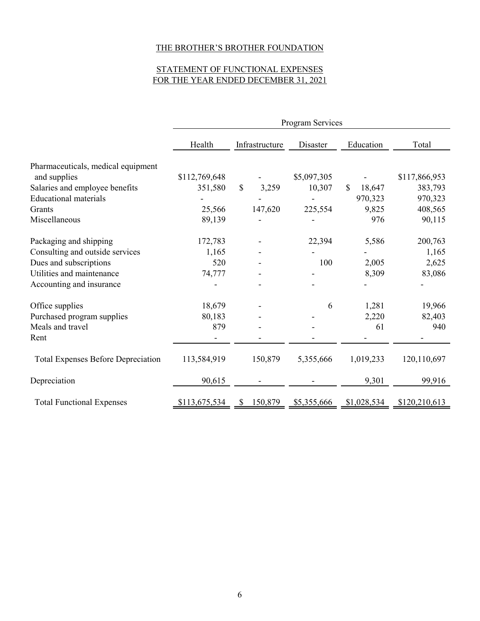# STATEMENT OF FUNCTIONAL EXPENSES FOR THE YEAR ENDED DECEMBER 31, 2021

|                                           | Program Services         |                       |             |              |               |  |
|-------------------------------------------|--------------------------|-----------------------|-------------|--------------|---------------|--|
|                                           | Health<br>Infrastructure |                       | Disaster    | Education    | Total         |  |
| Pharmaceuticals, medical equipment        |                          |                       |             |              |               |  |
| and supplies                              | \$112,769,648            |                       | \$5,097,305 |              | \$117,866,953 |  |
| Salaries and employee benefits            | 351,580                  | $\mathbb{S}$<br>3,259 | 10,307      | \$<br>18,647 | 383,793       |  |
| <b>Educational materials</b>              |                          |                       |             | 970,323      | 970,323       |  |
| Grants                                    | 25,566                   | 147,620               | 225,554     | 9,825        | 408,565       |  |
| Miscellaneous                             | 89,139                   |                       |             | 976          | 90,115        |  |
| Packaging and shipping                    | 172,783                  |                       | 22,394      | 5,586        | 200,763       |  |
| Consulting and outside services           | 1,165                    |                       |             |              | 1,165         |  |
| Dues and subscriptions                    | 520                      |                       | 100         | 2,005        | 2,625         |  |
| Utilities and maintenance                 | 74,777                   |                       |             | 8,309        | 83,086        |  |
| Accounting and insurance                  |                          |                       |             |              |               |  |
| Office supplies                           | 18,679                   |                       | 6           | 1,281        | 19,966        |  |
| Purchased program supplies                | 80,183                   |                       |             | 2,220        | 82,403        |  |
| Meals and travel                          | 879                      |                       |             | 61           | 940           |  |
| Rent                                      |                          |                       |             |              |               |  |
| <b>Total Expenses Before Depreciation</b> | 113,584,919              | 150,879               | 5,355,666   | 1,019,233    | 120,110,697   |  |
| Depreciation                              | 90,615                   |                       |             | 9,301        | 99,916        |  |
| <b>Total Functional Expenses</b>          | \$113,675,534            | 150,879               | \$5,355,666 | \$1,028,534  | \$120,210,613 |  |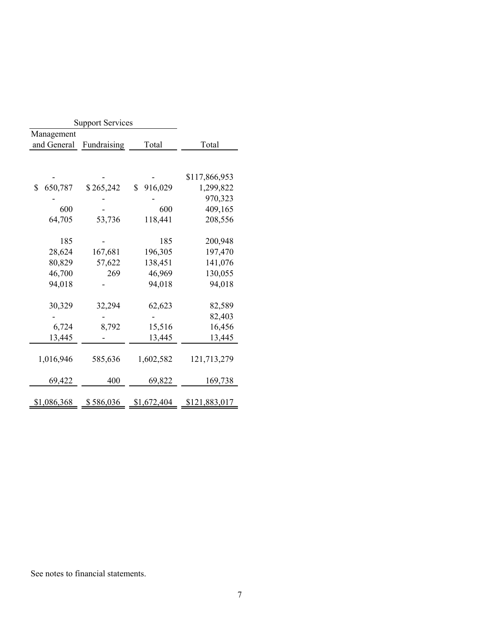| Management<br>and General<br>Total<br>Total<br>Fundraising<br>\$117,866,953<br>916,029<br>650,787<br>\$265,242<br>\$<br>\$<br>1,299,822<br>970,323<br>600<br>600<br>409,165<br>64,705<br>53,736<br>118,441<br>208,556<br>200,948<br>185<br>185<br>28,624<br>167,681<br>196,305<br>197,470<br>141,076<br>80,829<br>138,451<br>57,622<br>130,055<br>46,700<br>46,969<br>269<br>94,018<br>94,018<br>94,018<br>30,329<br>32,294<br>62,623<br>82,589<br>82,403<br>6,724<br>15,516<br>16,456<br>8,792<br>13,445<br>13,445<br>13,445<br>1,016,946<br>585,636<br>1,602,582<br>121,713,279<br>169,738<br>400<br>69,822<br>69,422 |  | <b>Support Services</b> |  |  |
|-------------------------------------------------------------------------------------------------------------------------------------------------------------------------------------------------------------------------------------------------------------------------------------------------------------------------------------------------------------------------------------------------------------------------------------------------------------------------------------------------------------------------------------------------------------------------------------------------------------------------|--|-------------------------|--|--|
|                                                                                                                                                                                                                                                                                                                                                                                                                                                                                                                                                                                                                         |  |                         |  |  |
|                                                                                                                                                                                                                                                                                                                                                                                                                                                                                                                                                                                                                         |  |                         |  |  |
|                                                                                                                                                                                                                                                                                                                                                                                                                                                                                                                                                                                                                         |  |                         |  |  |
|                                                                                                                                                                                                                                                                                                                                                                                                                                                                                                                                                                                                                         |  |                         |  |  |
|                                                                                                                                                                                                                                                                                                                                                                                                                                                                                                                                                                                                                         |  |                         |  |  |
|                                                                                                                                                                                                                                                                                                                                                                                                                                                                                                                                                                                                                         |  |                         |  |  |
|                                                                                                                                                                                                                                                                                                                                                                                                                                                                                                                                                                                                                         |  |                         |  |  |
|                                                                                                                                                                                                                                                                                                                                                                                                                                                                                                                                                                                                                         |  |                         |  |  |
|                                                                                                                                                                                                                                                                                                                                                                                                                                                                                                                                                                                                                         |  |                         |  |  |
|                                                                                                                                                                                                                                                                                                                                                                                                                                                                                                                                                                                                                         |  |                         |  |  |
|                                                                                                                                                                                                                                                                                                                                                                                                                                                                                                                                                                                                                         |  |                         |  |  |
|                                                                                                                                                                                                                                                                                                                                                                                                                                                                                                                                                                                                                         |  |                         |  |  |
|                                                                                                                                                                                                                                                                                                                                                                                                                                                                                                                                                                                                                         |  |                         |  |  |
|                                                                                                                                                                                                                                                                                                                                                                                                                                                                                                                                                                                                                         |  |                         |  |  |
|                                                                                                                                                                                                                                                                                                                                                                                                                                                                                                                                                                                                                         |  |                         |  |  |
|                                                                                                                                                                                                                                                                                                                                                                                                                                                                                                                                                                                                                         |  |                         |  |  |
|                                                                                                                                                                                                                                                                                                                                                                                                                                                                                                                                                                                                                         |  |                         |  |  |
|                                                                                                                                                                                                                                                                                                                                                                                                                                                                                                                                                                                                                         |  |                         |  |  |
|                                                                                                                                                                                                                                                                                                                                                                                                                                                                                                                                                                                                                         |  |                         |  |  |
|                                                                                                                                                                                                                                                                                                                                                                                                                                                                                                                                                                                                                         |  |                         |  |  |
|                                                                                                                                                                                                                                                                                                                                                                                                                                                                                                                                                                                                                         |  |                         |  |  |
|                                                                                                                                                                                                                                                                                                                                                                                                                                                                                                                                                                                                                         |  |                         |  |  |
|                                                                                                                                                                                                                                                                                                                                                                                                                                                                                                                                                                                                                         |  |                         |  |  |
|                                                                                                                                                                                                                                                                                                                                                                                                                                                                                                                                                                                                                         |  |                         |  |  |
|                                                                                                                                                                                                                                                                                                                                                                                                                                                                                                                                                                                                                         |  |                         |  |  |
| <u>\$586,036</u><br>\$1,672,404<br>\$1,086,368<br>\$121,883,017                                                                                                                                                                                                                                                                                                                                                                                                                                                                                                                                                         |  |                         |  |  |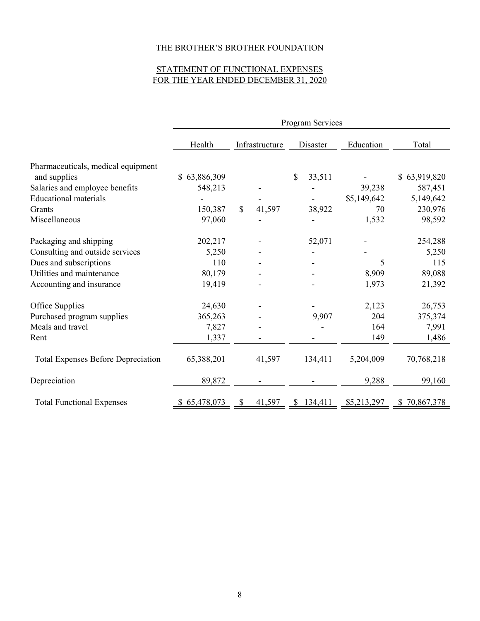# STATEMENT OF FUNCTIONAL EXPENSES FOR THE YEAR ENDED DECEMBER 31, 2020

|                                           | Program Services |                         |              |             |                  |  |  |
|-------------------------------------------|------------------|-------------------------|--------------|-------------|------------------|--|--|
|                                           | Health           | Infrastructure          |              | Education   | Total            |  |  |
| Pharmaceuticals, medical equipment        |                  |                         |              |             |                  |  |  |
| and supplies                              | 63,886,309<br>S. |                         | \$<br>33,511 |             | \$63,919,820     |  |  |
| Salaries and employee benefits            | 548,213          |                         |              | 39,238      | 587,451          |  |  |
| <b>Educational materials</b>              |                  |                         |              | \$5,149,642 | 5,149,642        |  |  |
| Grants                                    | 150,387          | $\mathcal{S}$<br>41,597 | 38,922       | 70          | 230,976          |  |  |
| Miscellaneous                             | 97,060           |                         |              | 1,532       | 98,592           |  |  |
| Packaging and shipping                    | 202,217          |                         | 52,071       |             | 254,288          |  |  |
| Consulting and outside services           | 5,250            |                         |              |             | 5,250            |  |  |
| Dues and subscriptions                    | 110              |                         |              | 5           | 115              |  |  |
| Utilities and maintenance                 | 80,179           |                         |              | 8,909       | 89,088           |  |  |
| Accounting and insurance                  | 19,419           |                         |              | 1,973       | 21,392           |  |  |
| Office Supplies                           | 24,630           |                         |              | 2,123       | 26,753           |  |  |
| Purchased program supplies                | 365,263          |                         | 9,907        | 204         | 375,374          |  |  |
| Meals and travel                          | 7,827            |                         |              | 164         | 7,991            |  |  |
| Rent                                      | 1,337            |                         |              | 149         | 1,486            |  |  |
| <b>Total Expenses Before Depreciation</b> | 65,388,201       | 41,597                  | 134,411      | 5,204,009   | 70,768,218       |  |  |
| Depreciation                              | 89,872           |                         |              | 9,288       | 99,160           |  |  |
| <b>Total Functional Expenses</b>          | 65,478,073       | 41,597                  | 134,411<br>S | \$5,213,297 | 70,867,378<br>S. |  |  |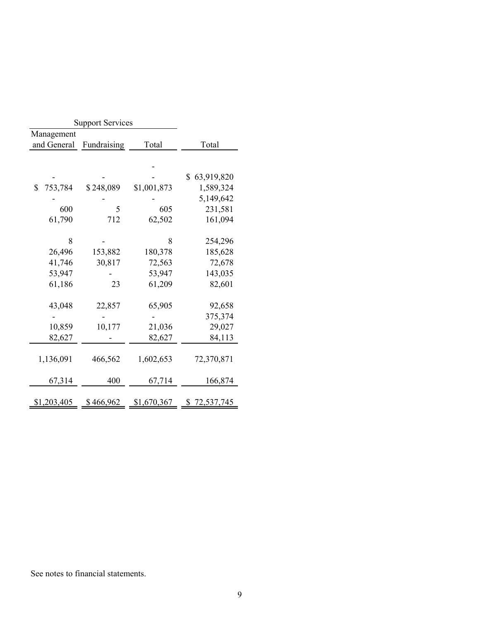| <b>Support Services</b> |             |             |                  |
|-------------------------|-------------|-------------|------------------|
| Management              |             |             |                  |
| and General             | Fundraising | Total       | Total            |
|                         |             |             |                  |
|                         |             |             |                  |
|                         |             |             | 63,919,820<br>\$ |
| \$<br>753,784           | \$248,089   | \$1,001,873 | 1,589,324        |
|                         |             |             | 5,149,642        |
| 600                     | 5           | 605         | 231,581          |
| 61,790                  | 712         | 62,502      | 161,094          |
|                         |             |             |                  |
| 8                       |             | 8           | 254,296          |
| 26,496                  | 153,882     | 180,378     | 185,628          |
| 41,746                  | 30,817      | 72,563      | 72,678           |
| 53,947                  |             | 53,947      | 143,035          |
| 61,186                  | 23          | 61,209      | 82,601           |
|                         |             |             |                  |
| 43,048                  | 22,857      | 65,905      | 92,658           |
|                         |             |             | 375,374          |
| 10,859                  | 10,177      | 21,036      | 29,027           |
| 82,627                  |             | 82,627      | 84,113           |
|                         |             |             |                  |
| 1,136,091               | 466,562     | 1,602,653   | 72,370,871       |
|                         |             |             |                  |
| 67,314                  | 400         | 67,714      | 166,874          |
|                         |             |             |                  |
| \$1,203,405             | \$466,962   | \$1,670,367 | \$<br>72,537,745 |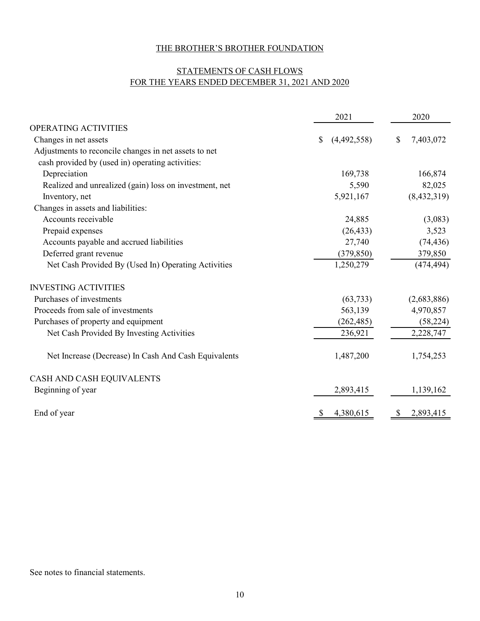# STATEMENTS OF CASH FLOWS FOR THE YEARS ENDED DECEMBER 31, 2021 AND 2020

|                                                        | 2021              | 2020            |
|--------------------------------------------------------|-------------------|-----------------|
| OPERATING ACTIVITIES                                   |                   |                 |
| Changes in net assets                                  | \$<br>(4,492,558) | \$<br>7,403,072 |
| Adjustments to reconcile changes in net assets to net  |                   |                 |
| cash provided by (used in) operating activities:       |                   |                 |
| Depreciation                                           | 169,738           | 166,874         |
| Realized and unrealized (gain) loss on investment, net | 5,590             | 82,025          |
| Inventory, net                                         | 5,921,167         | (8,432,319)     |
| Changes in assets and liabilities:                     |                   |                 |
| Accounts receivable                                    | 24,885            | (3,083)         |
| Prepaid expenses                                       | (26, 433)         | 3,523           |
| Accounts payable and accrued liabilities               | 27,740            | (74, 436)       |
| Deferred grant revenue                                 | (379, 850)        | 379,850         |
| Net Cash Provided By (Used In) Operating Activities    | 1,250,279         | (474, 494)      |
| <b>INVESTING ACTIVITIES</b>                            |                   |                 |
| Purchases of investments                               | (63, 733)         | (2,683,886)     |
| Proceeds from sale of investments                      | 563,139           | 4,970,857       |
| Purchases of property and equipment                    | (262, 485)        | (58, 224)       |
| Net Cash Provided By Investing Activities              | 236,921           | 2,228,747       |
| Net Increase (Decrease) In Cash And Cash Equivalents   | 1,487,200         | 1,754,253       |
| CASH AND CASH EQUIVALENTS                              |                   |                 |
| Beginning of year                                      | 2,893,415         | 1,139,162       |
| End of year                                            | 4,380,615         | 2,893,415       |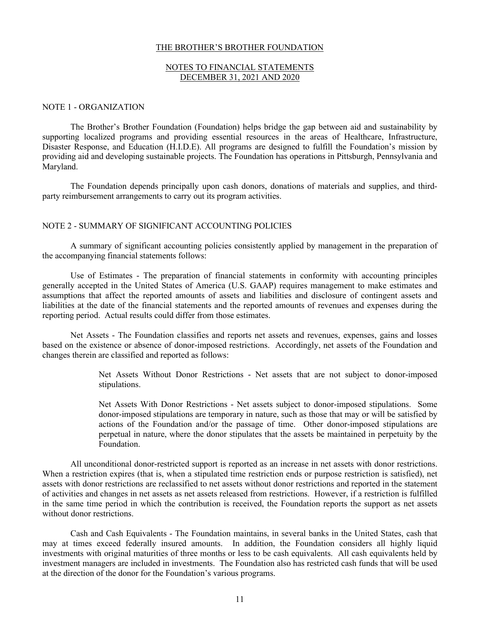## NOTES TO FINANCIAL STATEMENTS DECEMBER 31, 2021 AND 2020

#### NOTE 1 - ORGANIZATION

The Brother's Brother Foundation (Foundation) helps bridge the gap between aid and sustainability by supporting localized programs and providing essential resources in the areas of Healthcare, Infrastructure, Disaster Response, and Education (H.I.D.E). All programs are designed to fulfill the Foundation's mission by providing aid and developing sustainable projects. The Foundation has operations in Pittsburgh, Pennsylvania and Maryland.

The Foundation depends principally upon cash donors, donations of materials and supplies, and thirdparty reimbursement arrangements to carry out its program activities.

### NOTE 2 - SUMMARY OF SIGNIFICANT ACCOUNTING POLICIES

A summary of significant accounting policies consistently applied by management in the preparation of the accompanying financial statements follows:

Use of Estimates - The preparation of financial statements in conformity with accounting principles generally accepted in the United States of America (U.S. GAAP) requires management to make estimates and assumptions that affect the reported amounts of assets and liabilities and disclosure of contingent assets and liabilities at the date of the financial statements and the reported amounts of revenues and expenses during the reporting period. Actual results could differ from those estimates.

Net Assets - The Foundation classifies and reports net assets and revenues, expenses, gains and losses based on the existence or absence of donor-imposed restrictions. Accordingly, net assets of the Foundation and changes therein are classified and reported as follows:

> Net Assets Without Donor Restrictions - Net assets that are not subject to donor-imposed stipulations.

> Net Assets With Donor Restrictions - Net assets subject to donor-imposed stipulations. Some donor-imposed stipulations are temporary in nature, such as those that may or will be satisfied by actions of the Foundation and/or the passage of time. Other donor-imposed stipulations are perpetual in nature, where the donor stipulates that the assets be maintained in perpetuity by the Foundation.

All unconditional donor-restricted support is reported as an increase in net assets with donor restrictions. When a restriction expires (that is, when a stipulated time restriction ends or purpose restriction is satisfied), net assets with donor restrictions are reclassified to net assets without donor restrictions and reported in the statement of activities and changes in net assets as net assets released from restrictions. However, if a restriction is fulfilled in the same time period in which the contribution is received, the Foundation reports the support as net assets without donor restrictions.

Cash and Cash Equivalents - The Foundation maintains, in several banks in the United States, cash that may at times exceed federally insured amounts. In addition, the Foundation considers all highly liquid investments with original maturities of three months or less to be cash equivalents. All cash equivalents held by investment managers are included in investments. The Foundation also has restricted cash funds that will be used at the direction of the donor for the Foundation's various programs.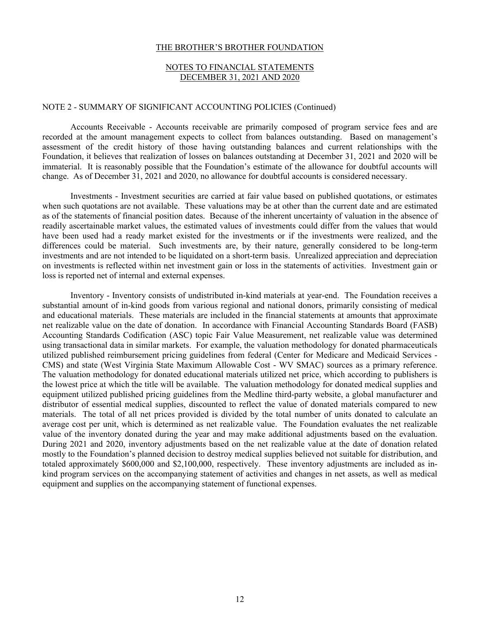## NOTES TO FINANCIAL STATEMENTS DECEMBER 31, 2021 AND 2020

#### NOTE 2 - SUMMARY OF SIGNIFICANT ACCOUNTING POLICIES (Continued)

Accounts Receivable - Accounts receivable are primarily composed of program service fees and are recorded at the amount management expects to collect from balances outstanding. Based on management's assessment of the credit history of those having outstanding balances and current relationships with the Foundation, it believes that realization of losses on balances outstanding at December 31, 2021 and 2020 will be immaterial. It is reasonably possible that the Foundation's estimate of the allowance for doubtful accounts will change. As of December 31, 2021 and 2020, no allowance for doubtful accounts is considered necessary.

Investments - Investment securities are carried at fair value based on published quotations, or estimates when such quotations are not available. These valuations may be at other than the current date and are estimated as of the statements of financial position dates. Because of the inherent uncertainty of valuation in the absence of readily ascertainable market values, the estimated values of investments could differ from the values that would have been used had a ready market existed for the investments or if the investments were realized, and the differences could be material. Such investments are, by their nature, generally considered to be long-term investments and are not intended to be liquidated on a short-term basis. Unrealized appreciation and depreciation on investments is reflected within net investment gain or loss in the statements of activities. Investment gain or loss is reported net of internal and external expenses.

Inventory - Inventory consists of undistributed in-kind materials at year-end. The Foundation receives a substantial amount of in-kind goods from various regional and national donors, primarily consisting of medical and educational materials. These materials are included in the financial statements at amounts that approximate net realizable value on the date of donation. In accordance with Financial Accounting Standards Board (FASB) Accounting Standards Codification (ASC) topic Fair Value Measurement, net realizable value was determined using transactional data in similar markets. For example, the valuation methodology for donated pharmaceuticals utilized published reimbursement pricing guidelines from federal (Center for Medicare and Medicaid Services - CMS) and state (West Virginia State Maximum Allowable Cost - WV SMAC) sources as a primary reference. The valuation methodology for donated educational materials utilized net price, which according to publishers is the lowest price at which the title will be available. The valuation methodology for donated medical supplies and equipment utilized published pricing guidelines from the Medline third-party website, a global manufacturer and distributor of essential medical supplies, discounted to reflect the value of donated materials compared to new materials. The total of all net prices provided is divided by the total number of units donated to calculate an average cost per unit, which is determined as net realizable value. The Foundation evaluates the net realizable value of the inventory donated during the year and may make additional adjustments based on the evaluation. During 2021 and 2020, inventory adjustments based on the net realizable value at the date of donation related mostly to the Foundation's planned decision to destroy medical supplies believed not suitable for distribution, and totaled approximately \$600,000 and \$2,100,000, respectively. These inventory adjustments are included as inkind program services on the accompanying statement of activities and changes in net assets, as well as medical equipment and supplies on the accompanying statement of functional expenses.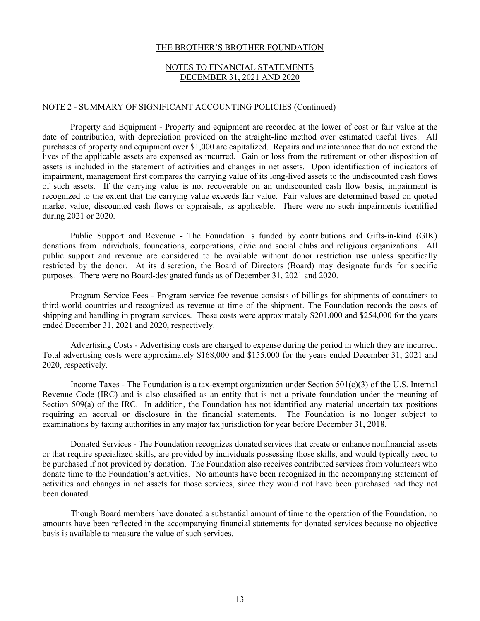## NOTES TO FINANCIAL STATEMENTS DECEMBER 31, 2021 AND 2020

#### NOTE 2 - SUMMARY OF SIGNIFICANT ACCOUNTING POLICIES (Continued)

Property and Equipment - Property and equipment are recorded at the lower of cost or fair value at the date of contribution, with depreciation provided on the straight-line method over estimated useful lives. All purchases of property and equipment over \$1,000 are capitalized. Repairs and maintenance that do not extend the lives of the applicable assets are expensed as incurred. Gain or loss from the retirement or other disposition of assets is included in the statement of activities and changes in net assets. Upon identification of indicators of impairment, management first compares the carrying value of its long-lived assets to the undiscounted cash flows of such assets. If the carrying value is not recoverable on an undiscounted cash flow basis, impairment is recognized to the extent that the carrying value exceeds fair value. Fair values are determined based on quoted market value, discounted cash flows or appraisals, as applicable. There were no such impairments identified during 2021 or 2020.

Public Support and Revenue - The Foundation is funded by contributions and Gifts-in-kind (GIK) donations from individuals, foundations, corporations, civic and social clubs and religious organizations. All public support and revenue are considered to be available without donor restriction use unless specifically restricted by the donor. At its discretion, the Board of Directors (Board) may designate funds for specific purposes. There were no Board-designated funds as of December 31, 2021 and 2020.

Program Service Fees - Program service fee revenue consists of billings for shipments of containers to third-world countries and recognized as revenue at time of the shipment. The Foundation records the costs of shipping and handling in program services. These costs were approximately \$201,000 and \$254,000 for the years ended December 31, 2021 and 2020, respectively.

Advertising Costs - Advertising costs are charged to expense during the period in which they are incurred. Total advertising costs were approximately \$168,000 and \$155,000 for the years ended December 31, 2021 and 2020, respectively.

Income Taxes - The Foundation is a tax-exempt organization under Section  $501(c)(3)$  of the U.S. Internal Revenue Code (IRC) and is also classified as an entity that is not a private foundation under the meaning of Section 509(a) of the IRC. In addition, the Foundation has not identified any material uncertain tax positions requiring an accrual or disclosure in the financial statements. The Foundation is no longer subject to examinations by taxing authorities in any major tax jurisdiction for year before December 31, 2018.

Donated Services - The Foundation recognizes donated services that create or enhance nonfinancial assets or that require specialized skills, are provided by individuals possessing those skills, and would typically need to be purchased if not provided by donation. The Foundation also receives contributed services from volunteers who donate time to the Foundation's activities. No amounts have been recognized in the accompanying statement of activities and changes in net assets for those services, since they would not have been purchased had they not been donated.

Though Board members have donated a substantial amount of time to the operation of the Foundation, no amounts have been reflected in the accompanying financial statements for donated services because no objective basis is available to measure the value of such services.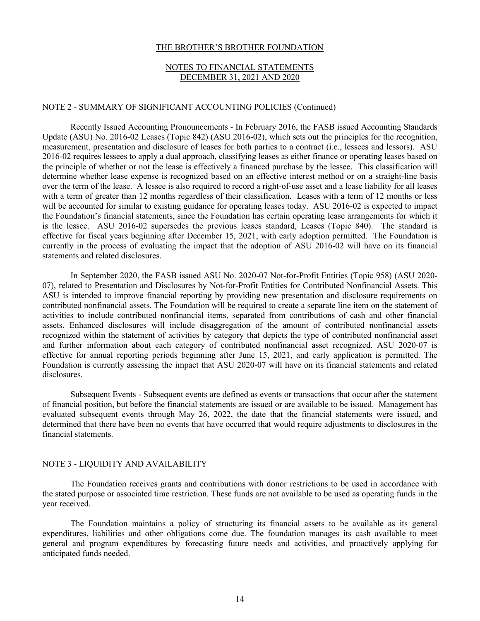## NOTES TO FINANCIAL STATEMENTS DECEMBER 31, 2021 AND 2020

#### NOTE 2 - SUMMARY OF SIGNIFICANT ACCOUNTING POLICIES (Continued)

Recently Issued Accounting Pronouncements - In February 2016, the FASB issued Accounting Standards Update (ASU) No. 2016-02 Leases (Topic 842) (ASU 2016-02), which sets out the principles for the recognition, measurement, presentation and disclosure of leases for both parties to a contract (i.e., lessees and lessors). ASU 2016-02 requires lessees to apply a dual approach, classifying leases as either finance or operating leases based on the principle of whether or not the lease is effectively a financed purchase by the lessee. This classification will determine whether lease expense is recognized based on an effective interest method or on a straight-line basis over the term of the lease. A lessee is also required to record a right-of-use asset and a lease liability for all leases with a term of greater than 12 months regardless of their classification. Leases with a term of 12 months or less will be accounted for similar to existing guidance for operating leases today. ASU 2016-02 is expected to impact the Foundation's financial statements, since the Foundation has certain operating lease arrangements for which it is the lessee. ASU 2016-02 supersedes the previous leases standard, Leases (Topic 840). The standard is effective for fiscal years beginning after December 15, 2021, with early adoption permitted. The Foundation is currently in the process of evaluating the impact that the adoption of ASU 2016-02 will have on its financial statements and related disclosures.

In September 2020, the FASB issued ASU No. 2020-07 Not-for-Profit Entities (Topic 958) (ASU 2020- 07), related to Presentation and Disclosures by Not-for-Profit Entities for Contributed Nonfinancial Assets. This ASU is intended to improve financial reporting by providing new presentation and disclosure requirements on contributed nonfinancial assets. The Foundation will be required to create a separate line item on the statement of activities to include contributed nonfinancial items, separated from contributions of cash and other financial assets. Enhanced disclosures will include disaggregation of the amount of contributed nonfinancial assets recognized within the statement of activities by category that depicts the type of contributed nonfinancial asset and further information about each category of contributed nonfinancial asset recognized. ASU 2020-07 is effective for annual reporting periods beginning after June 15, 2021, and early application is permitted. The Foundation is currently assessing the impact that ASU 2020-07 will have on its financial statements and related disclosures.

Subsequent Events - Subsequent events are defined as events or transactions that occur after the statement of financial position, but before the financial statements are issued or are available to be issued. Management has evaluated subsequent events through May 26, 2022, the date that the financial statements were issued, and determined that there have been no events that have occurred that would require adjustments to disclosures in the financial statements.

#### NOTE 3 - LIQUIDITY AND AVAILABILITY

The Foundation receives grants and contributions with donor restrictions to be used in accordance with the stated purpose or associated time restriction. These funds are not available to be used as operating funds in the year received.

The Foundation maintains a policy of structuring its financial assets to be available as its general expenditures, liabilities and other obligations come due. The foundation manages its cash available to meet general and program expenditures by forecasting future needs and activities, and proactively applying for anticipated funds needed.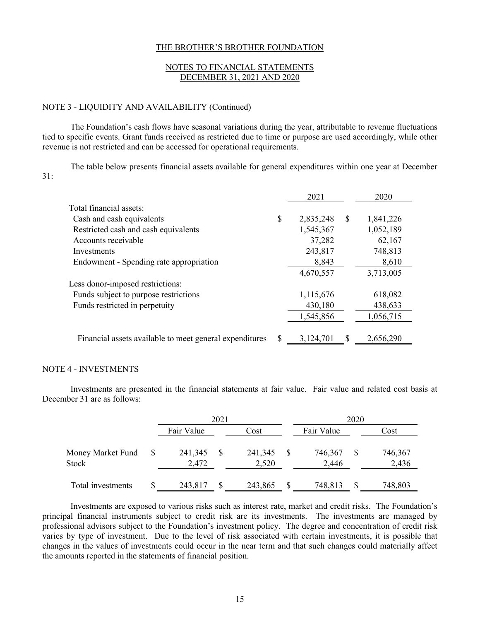## NOTES TO FINANCIAL STATEMENTS DECEMBER 31, 2021 AND 2020

#### NOTE 3 - LIQUIDITY AND AVAILABILITY (Continued)

The Foundation's cash flows have seasonal variations during the year, attributable to revenue fluctuations tied to specific events. Grant funds received as restricted due to time or purpose are used accordingly, while other revenue is not restricted and can be accessed for operational requirements.

The table below presents financial assets available for general expenditures within one year at December 31:

|                                                         |    | 2021      |   | 2020      |
|---------------------------------------------------------|----|-----------|---|-----------|
| Total financial assets:                                 |    |           |   |           |
| Cash and cash equivalents                               | \$ | 2,835,248 | S | 1,841,226 |
| Restricted cash and cash equivalents                    |    | 1,545,367 |   | 1,052,189 |
| Accounts receivable                                     |    | 37,282    |   | 62,167    |
| Investments                                             |    | 243,817   |   | 748,813   |
| Endowment - Spending rate appropriation                 |    | 8,843     |   | 8,610     |
|                                                         |    | 4,670,557 |   | 3,713,005 |
| Less donor-imposed restrictions:                        |    |           |   |           |
| Funds subject to purpose restrictions                   |    | 1,115,676 |   | 618,082   |
| Funds restricted in perpetuity                          |    | 430,180   |   | 438,633   |
|                                                         |    | 1,545,856 |   | 1,056,715 |
| Financial assets available to meet general expenditures | S  | 3,124,701 | S | 2,656,290 |

#### NOTE 4 - INVESTMENTS

Investments are presented in the financial statements at fair value. Fair value and related cost basis at December 31 are as follows:

|                            | 2021             |  |                  |   | 2020             |   |                  |
|----------------------------|------------------|--|------------------|---|------------------|---|------------------|
|                            | Fair Value       |  | Cost             |   | Fair Value       |   | Cost             |
| Money Market Fund<br>Stock | 241,345<br>2,472 |  | 241,345<br>2,520 |   | 746,367<br>2,446 |   | 746,367<br>2,436 |
| Total investments          | \$<br>243,817    |  | 243,865          | S | 748,813          | S | 748,803          |

Investments are exposed to various risks such as interest rate, market and credit risks. The Foundation's principal financial instruments subject to credit risk are its investments. The investments are managed by professional advisors subject to the Foundation's investment policy. The degree and concentration of credit risk varies by type of investment. Due to the level of risk associated with certain investments, it is possible that changes in the values of investments could occur in the near term and that such changes could materially affect the amounts reported in the statements of financial position.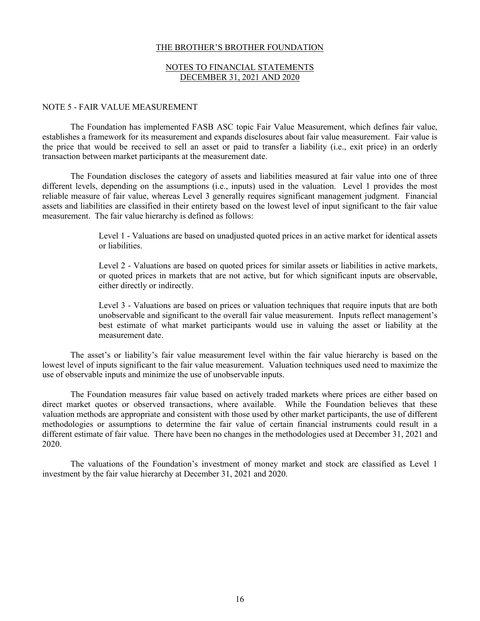## NOTES TO FINANCIAL STATEMENTS DECEMBER 31, 2021 AND 2020

#### NOTE 5 - FAIR VALUE MEASUREMENT

The Foundation has implemented FASB ASC topic Fair Value Measurement, which defines fair value, establishes a framework for its measurement and expands disclosures about fair value measurement. Fair value is the price that would be received to sell an asset or paid to transfer a liability (i.e., exit price) in an orderly transaction between market participants at the measurement date.

The Foundation discloses the category of assets and liabilities measured at fair value into one of three different levels, depending on the assumptions (i.e., inputs) used in the valuation. Level 1 provides the most reliable measure of fair value, whereas Level 3 generally requires significant management judgment. Financial assets and liabilities are classified in their entirety based on the lowest level of input significant to the fair value measurement. The fair value hierarchy is defined as follows:

> Level 1 - Valuations are based on unadjusted quoted prices in an active market for identical assets or liabilities.

> Level 2 - Valuations are based on quoted prices for similar assets or liabilities in active markets, or quoted prices in markets that are not active, but for which significant inputs are observable, either directly or indirectly.

> Level 3 - Valuations are based on prices or valuation techniques that require inputs that are both unobservable and significant to the overall fair value measurement. Inputs reflect management's best estimate of what market participants would use in valuing the asset or liability at the measurement date.

The asset's or liability's fair value measurement level within the fair value hierarchy is based on the lowest level of inputs significant to the fair value measurement. Valuation techniques used need to maximize the use of observable inputs and minimize the use of unobservable inputs.

The Foundation measures fair value based on actively traded markets where prices are either based on direct market quotes or observed transactions, where available. While the Foundation believes that these valuation methods are appropriate and consistent with those used by other market participants, the use of different methodologies or assumptions to determine the fair value of certain financial instruments could result in a different estimate of fair value. There have been no changes in the methodologies used at December 31, 2021 and 2020.

The valuations of the Foundation's investment of money market and stock are classified as Level 1 investment by the fair value hierarchy at December 31, 2021 and 2020.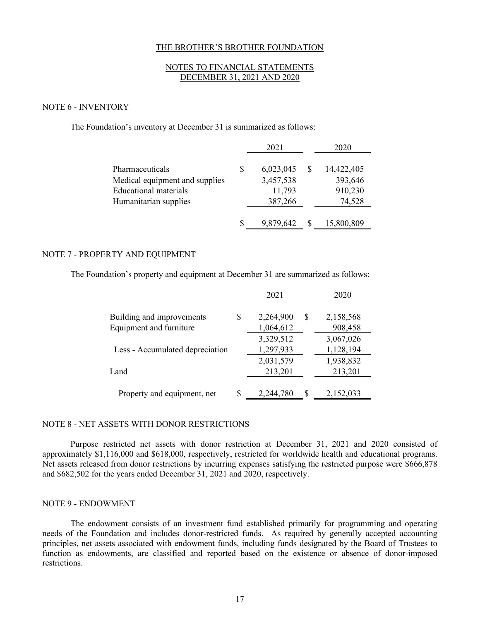## NOTES TO FINANCIAL STATEMENTS DECEMBER 31, 2021 AND 2020

#### NOTE 6 - INVENTORY

The Foundation's inventory at December 31 is summarized as follows:

|                                |   | 2021      | 2020       |
|--------------------------------|---|-----------|------------|
| Pharmaceuticals                | S | 6,023,045 | 14,422,405 |
| Medical equipment and supplies |   | 3,457,538 | 393,646    |
| Educational materials          |   | 11,793    | 910,230    |
| Humanitarian supplies          |   | 387,266   | 74,528     |
|                                |   | 9,879,642 | 15,800,809 |

## NOTE 7 - PROPERTY AND EQUIPMENT

The Foundation's property and equipment at December 31 are summarized as follows:

|                                 |    | 2021      |   | 2020      |
|---------------------------------|----|-----------|---|-----------|
|                                 |    |           |   |           |
| Building and improvements       | \$ | 2,264,900 | S | 2,158,568 |
| Equipment and furniture         |    | 1,064,612 |   | 908,458   |
|                                 |    | 3,329,512 |   | 3,067,026 |
| Less - Accumulated depreciation |    | 1,297,933 |   | 1,128,194 |
|                                 |    | 2,031,579 |   | 1,938,832 |
| Land                            |    | 213,201   |   | 213,201   |
|                                 |    |           |   |           |
| Property and equipment, net     | S  | 2,244,780 | S | 2,152,033 |

### NOTE 8 - NET ASSETS WITH DONOR RESTRICTIONS

Purpose restricted net assets with donor restriction at December 31, 2021 and 2020 consisted of approximately \$1,116,000 and \$618,000, respectively, restricted for worldwide health and educational programs. Net assets released from donor restrictions by incurring expenses satisfying the restricted purpose were \$666,878 and \$682,502 for the years ended December 31, 2021 and 2020, respectively.

#### NOTE 9 - ENDOWMENT

The endowment consists of an investment fund established primarily for programming and operating needs of the Foundation and includes donor-restricted funds. As required by generally accepted accounting principles, net assets associated with endowment funds, including funds designated by the Board of Trustees to function as endowments, are classified and reported based on the existence or absence of donor-imposed restrictions.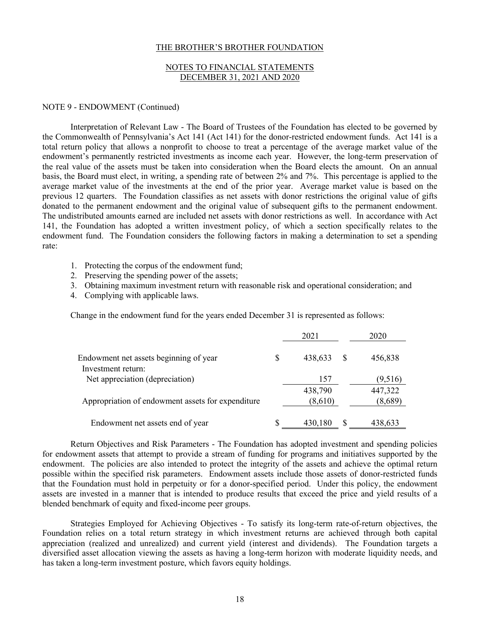## NOTES TO FINANCIAL STATEMENTS DECEMBER 31, 2021 AND 2020

#### NOTE 9 - ENDOWMENT (Continued)

Interpretation of Relevant Law - The Board of Trustees of the Foundation has elected to be governed by the Commonwealth of Pennsylvania's Act 141 (Act 141) for the donor-restricted endowment funds. Act 141 is a total return policy that allows a nonprofit to choose to treat a percentage of the average market value of the endowment's permanently restricted investments as income each year. However, the long-term preservation of the real value of the assets must be taken into consideration when the Board elects the amount. On an annual basis, the Board must elect, in writing, a spending rate of between 2% and 7%. This percentage is applied to the average market value of the investments at the end of the prior year. Average market value is based on the previous 12 quarters. The Foundation classifies as net assets with donor restrictions the original value of gifts donated to the permanent endowment and the original value of subsequent gifts to the permanent endowment. The undistributed amounts earned are included net assets with donor restrictions as well. In accordance with Act 141, the Foundation has adopted a written investment policy, of which a section specifically relates to the endowment fund. The Foundation considers the following factors in making a determination to set a spending rate:

- 1. Protecting the corpus of the endowment fund;
- 2. Preserving the spending power of the assets;
- 3. Obtaining maximum investment return with reasonable risk and operational consideration; and
- 4. Complying with applicable laws.

Change in the endowment fund for the years ended December 31 is represented as follows:

|                                                   |   | 2021    |   | 2020    |
|---------------------------------------------------|---|---------|---|---------|
| Endowment net assets beginning of year            | S | 438,633 |   | 456,838 |
| Investment return:                                |   |         |   |         |
| Net appreciation (depreciation)                   |   | 157     |   | (9,516) |
|                                                   |   | 438,790 |   | 447,322 |
| Appropriation of endowment assets for expenditure |   | (8,610) |   | (8,689) |
| Endowment net assets end of year                  |   | 430,180 | S | 438,633 |

Return Objectives and Risk Parameters - The Foundation has adopted investment and spending policies for endowment assets that attempt to provide a stream of funding for programs and initiatives supported by the endowment. The policies are also intended to protect the integrity of the assets and achieve the optimal return possible within the specified risk parameters. Endowment assets include those assets of donor-restricted funds that the Foundation must hold in perpetuity or for a donor-specified period. Under this policy, the endowment assets are invested in a manner that is intended to produce results that exceed the price and yield results of a blended benchmark of equity and fixed-income peer groups.

Strategies Employed for Achieving Objectives - To satisfy its long-term rate-of-return objectives, the Foundation relies on a total return strategy in which investment returns are achieved through both capital appreciation (realized and unrealized) and current yield (interest and dividends). The Foundation targets a diversified asset allocation viewing the assets as having a long-term horizon with moderate liquidity needs, and has taken a long-term investment posture, which favors equity holdings.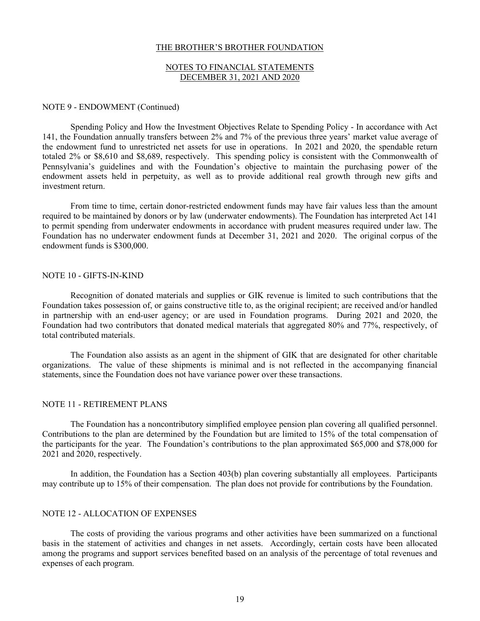## NOTES TO FINANCIAL STATEMENTS DECEMBER 31, 2021 AND 2020

#### NOTE 9 - ENDOWMENT (Continued)

Spending Policy and How the Investment Objectives Relate to Spending Policy - In accordance with Act 141, the Foundation annually transfers between 2% and 7% of the previous three years' market value average of the endowment fund to unrestricted net assets for use in operations. In 2021 and 2020, the spendable return totaled 2% or \$8,610 and \$8,689, respectively. This spending policy is consistent with the Commonwealth of Pennsylvania's guidelines and with the Foundation's objective to maintain the purchasing power of the endowment assets held in perpetuity, as well as to provide additional real growth through new gifts and investment return.

From time to time, certain donor-restricted endowment funds may have fair values less than the amount required to be maintained by donors or by law (underwater endowments). The Foundation has interpreted Act 141 to permit spending from underwater endowments in accordance with prudent measures required under law. The Foundation has no underwater endowment funds at December 31, 2021 and 2020. The original corpus of the endowment funds is \$300,000.

#### NOTE 10 - GIFTS-IN-KIND

Recognition of donated materials and supplies or GIK revenue is limited to such contributions that the Foundation takes possession of, or gains constructive title to, as the original recipient; are received and/or handled in partnership with an end-user agency; or are used in Foundation programs. During 2021 and 2020, the Foundation had two contributors that donated medical materials that aggregated 80% and 77%, respectively, of total contributed materials.

The Foundation also assists as an agent in the shipment of GIK that are designated for other charitable organizations. The value of these shipments is minimal and is not reflected in the accompanying financial statements, since the Foundation does not have variance power over these transactions.

#### NOTE 11 - RETIREMENT PLANS

The Foundation has a noncontributory simplified employee pension plan covering all qualified personnel. Contributions to the plan are determined by the Foundation but are limited to 15% of the total compensation of the participants for the year. The Foundation's contributions to the plan approximated \$65,000 and \$78,000 for 2021 and 2020, respectively.

In addition, the Foundation has a Section 403(b) plan covering substantially all employees. Participants may contribute up to 15% of their compensation. The plan does not provide for contributions by the Foundation.

### NOTE 12 - ALLOCATION OF EXPENSES

The costs of providing the various programs and other activities have been summarized on a functional basis in the statement of activities and changes in net assets. Accordingly, certain costs have been allocated among the programs and support services benefited based on an analysis of the percentage of total revenues and expenses of each program.